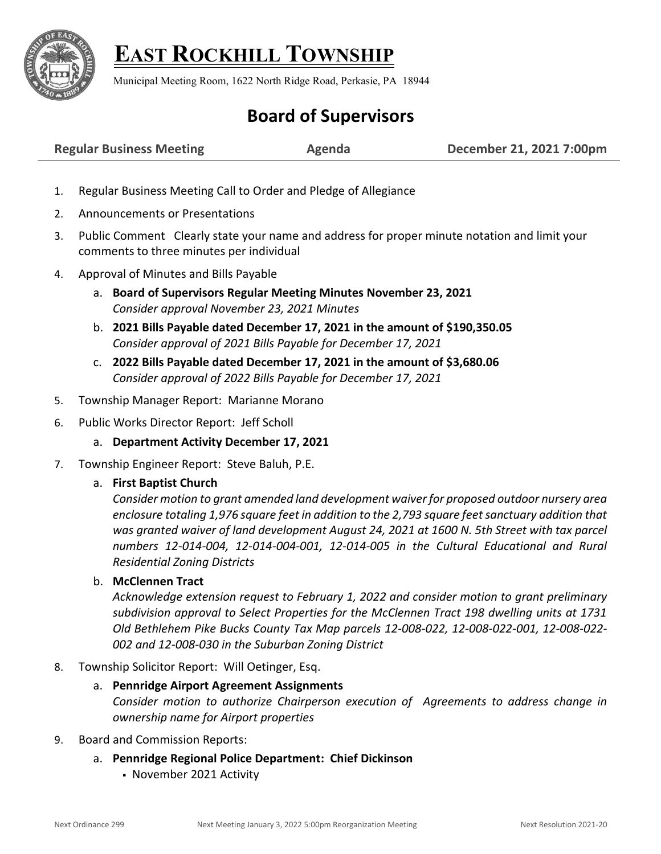

# **EAST ROCKHILL TOWNSHIP**

Municipal Meeting Room, 1622 North Ridge Road, Perkasie, PA 18944

# **Board of Supervisors**

|  | <b>Regular Business Meeting</b> | Agenda | December 21, 2021 7:00pm |
|--|---------------------------------|--------|--------------------------|
|--|---------------------------------|--------|--------------------------|

- 1. Regular Business Meeting Call to Order and Pledge of Allegiance
- 2. Announcements or Presentations
- 3. Public Comment Clearly state your name and address for proper minute notation and limit your comments to three minutes per individual
- 4. Approval of Minutes and Bills Payable
	- a. **Board of Supervisors Regular Meeting Minutes November 23, 2021** *Consider approval November 23, 2021 Minutes*
	- b. **2021 Bills Payable dated December 17, 2021 in the amount of \$190,350.05** *Consider approval of 2021 Bills Payable for December 17, 2021*
	- c. **2022 Bills Payable dated December 17, 2021 in the amount of \$3,680.06** *Consider approval of 2022 Bills Payable for December 17, 2021*
- 5. Township Manager Report: Marianne Morano
- 6. Public Works Director Report: Jeff Scholl
	- a. **Department Activity December 17, 2021**
- 7. Township Engineer Report: Steve Baluh, P.E.

# a. **First Baptist Church**

*Consider motion to grant amended land development waiver for proposed outdoor nursery area enclosure totaling 1,976 square feet in addition to the 2,793 square feet sanctuary addition that was granted waiver of land development August 24, 2021 at 1600 N. 5th Street with tax parcel numbers 12-014-004, 12-014-004-001, 12-014-005 in the Cultural Educational and Rural Residential Zoning Districts*

#### b. **McClennen Tract**

*Acknowledge extension request to February 1, 2022 and consider motion to grant preliminary subdivision approval to Select Properties for the McClennen Tract 198 dwelling units at 1731 Old Bethlehem Pike Bucks County Tax Map parcels 12-008-022, 12-008-022-001, 12-008-022- 002 and 12-008-030 in the Suburban Zoning District*

8. Township Solicitor Report: Will Oetinger, Esq.

# a. **Pennridge Airport Agreement Assignments**

*Consider motion to authorize Chairperson execution of Agreements to address change in ownership name for Airport properties* 

- 9. Board and Commission Reports:
	- a. **Pennridge Regional Police Department: Chief Dickinson**
		- November 2021 Activity